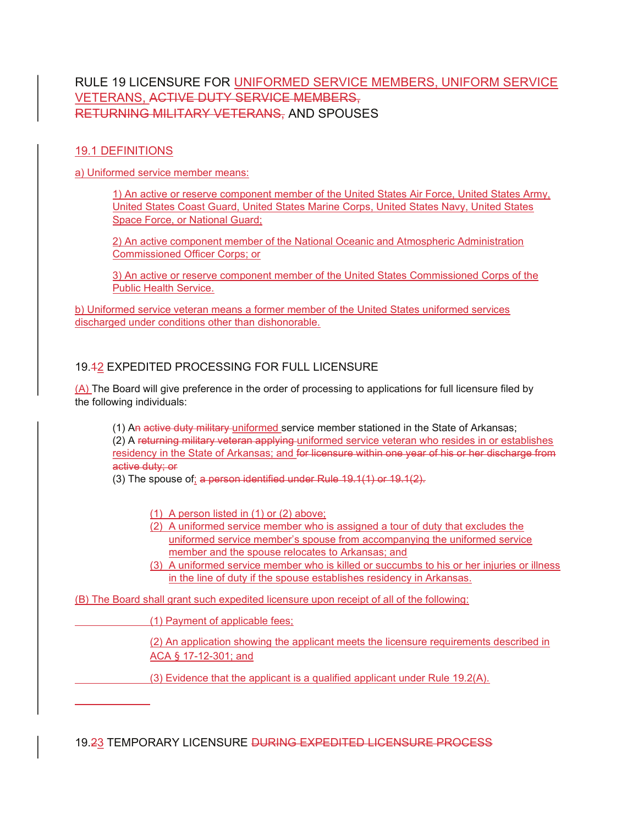# RULE 19 LICENSURE FOR UNIFORMED SERVICE MEMBERS, UNIFORM SERVICE VETERANS, ACTIVE DUTY SERVICE MEMBERS, RETURNING MILITARY VETERANS, AND SPOUSES

#### 19.1 DEFINITIONS

 $\overline{a}$ 

a) Uniformed service member means:

1) An active or reserve component member of the United States Air Force, United States Army, United States Coast Guard, United States Marine Corps, United States Navy, United States Space Force, or National Guard;

2) An active component member of the National Oceanic and Atmospheric Administration Commissioned Officer Corps; or

3) An active or reserve component member of the United States Commissioned Corps of the Public Health Service.

b) Uniformed service veteran means a former member of the United States uniformed services discharged under conditions other than dishonorable.

## 19.12 EXPEDITED PROCESSING FOR FULL LICENSURE

(A) The Board will give preference in the order of processing to applications for full licensure filed by the following individuals:

(1) An active duty military uniformed service member stationed in the State of Arkansas; (2) A returning military veteran applying uniformed service veteran who resides in or establishes residency in the State of Arkansas; and for licensure within one year of his or her discharge from active duty; or

(3) The spouse of; a person identified under Rule 19.1(1) or 19.1(2).

(1) A person listed in (1) or (2) above;

- (2) A uniformed service member who is assigned a tour of duty that excludes the uniformed service member's spouse from accompanying the uniformed service member and the spouse relocates to Arkansas; and
- (3) A uniformed service member who is killed or succumbs to his or her injuries or illness in the line of duty if the spouse establishes residency in Arkansas.

(B) The Board shall grant such expedited licensure upon receipt of all of the following:

(1) Payment of applicable fees;

(2) An application showing the applicant meets the licensure requirements described in ACA § 17-12-301; and

(3) Evidence that the applicant is a qualified applicant under Rule 19.2(A).

19.23 TEMPORARY LICENSURE DURING EXPEDITED LICENSURE PROCESS